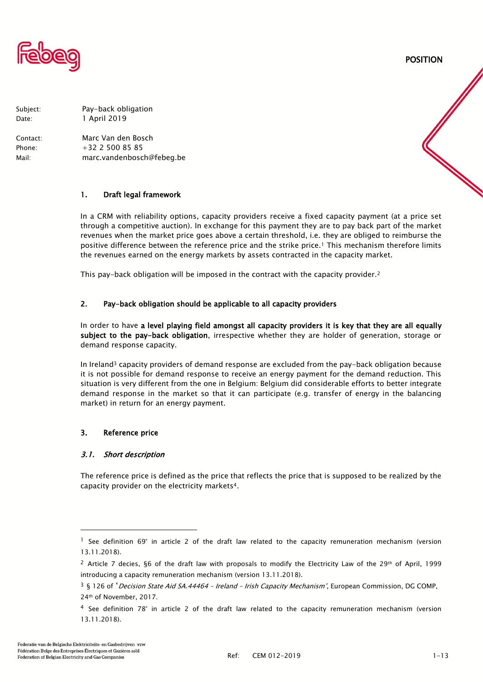

POSITION

Subject: Pay-back obligation Date: 1 April 2019

Contact: Marc Van den Bosch Phone: +32 2 500 85 85 Mail: marc.vandenbosch@febeg.be

# 1. Draft legal framework

In a CRM with reliability options, capacity providers receive a fixed capacity payment (at a price set through a competitive auction). In exchange for this payment they are to pay back part of the market revenues when the market price goes above a certain threshold, i.e. they are obliged to reimburse the positive difference between the reference price and the strike price.<sup>1</sup> This mechanism therefore limits the revenues earned on the energy markets by assets contracted in the capacity market.

This pay-back obligation will be imposed in the contract with the capacity provider.<sup>2</sup>

# 2. Pay-back obligation should be applicable to all capacity providers

In order to have a level playing field amongst all capacity providers it is key that they are all equally subject to the pay-back obligation, irrespective whether they are holder of generation, storage or demand response capacity.

In Ireland<sup>3</sup> capacity providers of demand response are excluded from the pay-back obligation because it is not possible for demand response to receive an energy payment for the demand reduction. This situation is very different from the one in Belgium: Belgium did considerable efforts to better integrate demand response in the market so that it can participate (e.g. transfer of energy in the balancing market) in return for an energy payment.

# 3. Reference price

# 3.1. Short description

The reference price is defined as the price that reflects the price that is supposed to be realized by the capacity provider on the electricity markets4.

j

<sup>&</sup>lt;sup>1</sup> See definition 69° in article 2 of the draft law related to the capacity remuneration mechanism (version 13.11.2018).

<sup>&</sup>lt;sup>2</sup> Article 7 decies, §6 of the draft law with proposals to modify the Electricity Law of the 29<sup>th</sup> of April, 1999 introducing a capacity remuneration mechanism (version 13.11.2018).

<sup>&</sup>lt;sup>3</sup> § 126 of 'Decision State Aid SA.44464 - Ireland - Irish Capacity Mechanism', European Commission, DG COMP, 24th of November, 2017.

<sup>4</sup> See definition 78° in article 2 of the draft law related to the capacity remuneration mechanism (version 13.11.2018).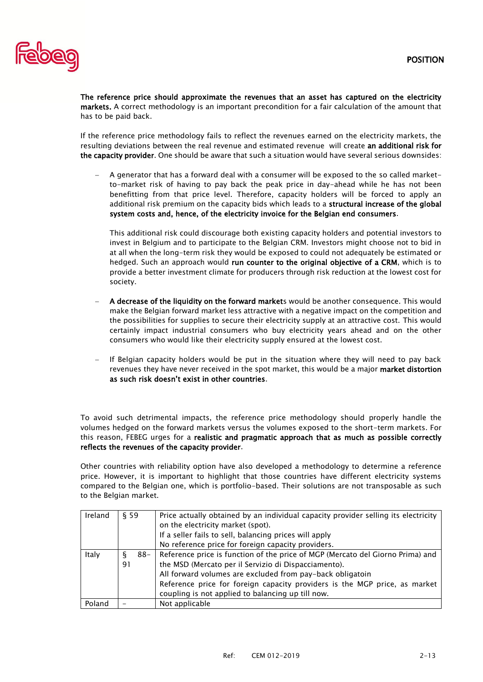

The reference price should approximate the revenues that an asset has captured on the electricity markets. A correct methodology is an important precondition for a fair calculation of the amount that has to be paid back.

If the reference price methodology fails to reflect the revenues earned on the electricity markets, the resulting deviations between the real revenue and estimated revenue will create an additional risk for the capacity provider. One should be aware that such a situation would have several serious downsides:

− A generator that has a forward deal with a consumer will be exposed to the so called marketto-market risk of having to pay back the peak price in day-ahead while he has not been benefitting from that price level. Therefore, capacity holders will be forced to apply an additional risk premium on the capacity bids which leads to a structural increase of the global system costs and, hence, of the electricity invoice for the Belgian end consumers.

This additional risk could discourage both existing capacity holders and potential investors to invest in Belgium and to participate to the Belgian CRM. Investors might choose not to bid in at all when the long-term risk they would be exposed to could not adequately be estimated or hedged. Such an approach would run counter to the original objective of a CRM, which is to provide a better investment climate for producers through risk reduction at the lowest cost for society.

- A decrease of the liquidity on the forward markets would be another consequence. This would make the Belgian forward market less attractive with a negative impact on the competition and the possibilities for supplies to secure their electricity supply at an attractive cost. This would certainly impact industrial consumers who buy electricity years ahead and on the other consumers who would like their electricity supply ensured at the lowest cost.
- If Belgian capacity holders would be put in the situation where they will need to pay back revenues they have never received in the spot market, this would be a major **market distortion** as such risk doesn't exist in other countries.

To avoid such detrimental impacts, the reference price methodology should properly handle the volumes hedged on the forward markets versus the volumes exposed to the short-term markets. For this reason, FEBEG urges for a realistic and pragmatic approach that as much as possible correctly reflects the revenues of the capacity provider.

Other countries with reliability option have also developed a methodology to determine a reference price. However, it is important to highlight that those countries have different electricity systems compared to the Belgian one, which is portfolio-based. Their solutions are not transposable as such to the Belgian market.

| Ireland | § 59 |     | Price actually obtained by an individual capacity provider selling its electricity |  |  |  |  |
|---------|------|-----|------------------------------------------------------------------------------------|--|--|--|--|
|         |      |     | on the electricity market (spot).                                                  |  |  |  |  |
|         |      |     | If a seller fails to sell, balancing prices will apply                             |  |  |  |  |
|         |      |     | No reference price for foreign capacity providers.                                 |  |  |  |  |
| Italy   |      | 88- | Reference price is function of the price of MGP (Mercato del Giorno Prima) and     |  |  |  |  |
|         | 91   |     | the MSD (Mercato per il Servizio di Dispacciamento).                               |  |  |  |  |
|         |      |     | All forward volumes are excluded from pay-back obligatoin                          |  |  |  |  |
|         |      |     | Reference price for foreign capacity providers is the MGP price, as market         |  |  |  |  |
|         |      |     | coupling is not applied to balancing up till now.                                  |  |  |  |  |
| Poland  |      |     | Not applicable                                                                     |  |  |  |  |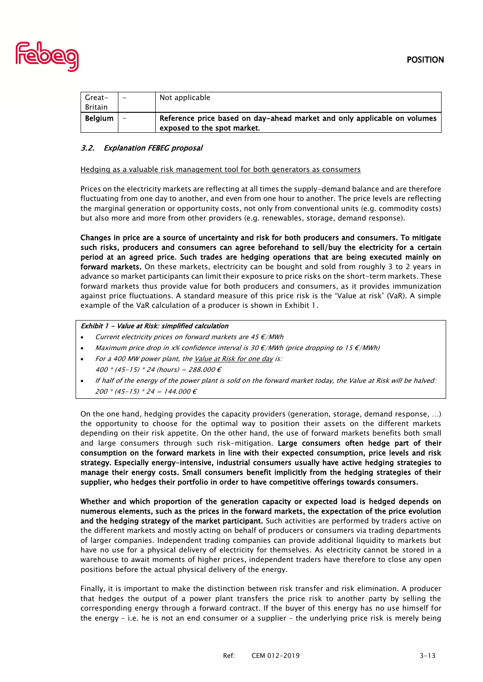

| Great-         | $\overline{\phantom{0}}$ | Not applicable                                                                                          |
|----------------|--------------------------|---------------------------------------------------------------------------------------------------------|
| Britain        |                          |                                                                                                         |
| <b>Belgium</b> |                          | Reference price based on day-ahead market and only applicable on volumes<br>exposed to the spot market. |

# 3.2. Explanation FEBEG proposal

#### Hedging as a valuable risk management tool for both generators as consumers

Prices on the electricity markets are reflecting at all times the supply-demand balance and are therefore fluctuating from one day to another, and even from one hour to another. The price levels are reflecting the marginal generation or opportunity costs, not only from conventional units (e.g. commodity costs) but also more and more from other providers (e.g. renewables, storage, demand response).

Changes in price are a source of uncertainty and risk for both producers and consumers. To mitigate such risks, producers and consumers can agree beforehand to sell/buy the electricity for a certain period at an agreed price. Such trades are hedging operations that are being executed mainly on forward markets. On these markets, electricity can be bought and sold from roughly 3 to 2 years in advance so market participants can limit their exposure to price risks on the short-term markets. These forward markets thus provide value for both producers and consumers, as it provides immunization against price fluctuations. A standard measure of this price risk is the 'Value at risk' (VaR). A simple example of the VaR calculation of a producer is shown in [Exhibit](#page-2-0) 1.

#### <span id="page-2-0"></span>Exhibit 1 - Value at Risk: simplified calculation

- Current electricity prices on forward markets are 45  $\varepsilon$ /MWh
- Maximum price drop in x% confidence interval is 30  $\epsilon$ /MWh (price dropping to 15  $\epsilon$ /MWh)
- For a 400 MW power plant, the Value at Risk for one day is: 400  $*(45-15) * 24$  (hours) = 288.000  $\epsilon$
- If half of the energy of the power plant is sold on the forward market today, the Value at Risk will be halved: 200 \* (45-15) \* 24 = 144.000  $\epsilon$

On the one hand, hedging provides the capacity providers (generation, storage, demand response, …) the opportunity to choose for the optimal way to position their assets on the different markets depending on their risk appetite. On the other hand, the use of forward markets benefits both small and large consumers through such risk-mitigation. Large consumers often hedge part of their consumption on the forward markets in line with their expected consumption, price levels and risk strategy. Especially energy-intensive, industrial consumers usually have active hedging strategies to manage their energy costs. Small consumers benefit implicitly from the hedging strategies of their supplier, who hedges their portfolio in order to have competitive offerings towards consumers.

Whether and which proportion of the generation capacity or expected load is hedged depends on numerous elements, such as the prices in the forward markets, the expectation of the price evolution and the hedging strategy of the market participant. Such activities are performed by traders active on the different markets and mostly acting on behalf of producers or consumers via trading departments of larger companies. Independent trading companies can provide additional liquidity to markets but have no use for a physical delivery of electricity for themselves. As electricity cannot be stored in a warehouse to await moments of higher prices, independent traders have therefore to close any open positions before the actual physical delivery of the energy.

Finally, it is important to make the distinction between risk transfer and risk elimination. A producer that hedges the output of a power plant transfers the price risk to another party by selling the corresponding energy through a forward contract. If the buyer of this energy has no use himself for the energy – i.e. he is not an end consumer or a supplier – the underlying price risk is merely being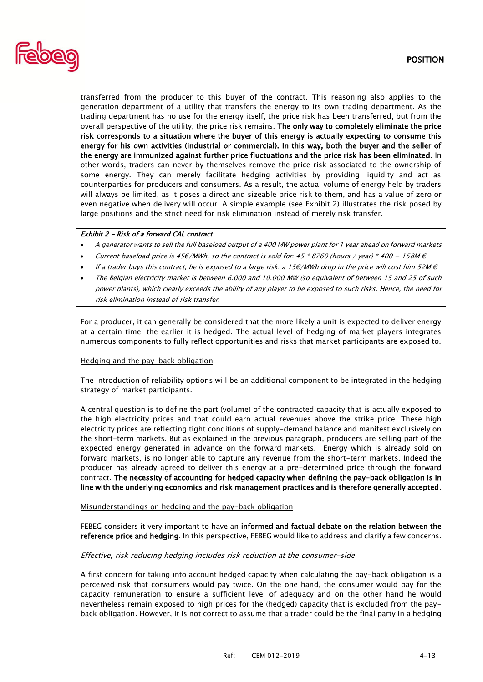

transferred from the producer to this buyer of the contract. This reasoning also applies to the generation department of a utility that transfers the energy to its own trading department. As the trading department has no use for the energy itself, the price risk has been transferred, but from the overall perspective of the utility, the price risk remains. The only way to completely eliminate the price risk corresponds to a situation where the buyer of this energy is actually expecting to consume this energy for his own activities (industrial or commercial). In this way, both the buyer and the seller of the energy are immunized against further price fluctuations and the price risk has been eliminated. In other words, traders can never by themselves remove the price risk associated to the ownership of some energy. They can merely facilitate hedging activities by providing liquidity and act as counterparties for producers and consumers. As a result, the actual volume of energy held by traders will always be limited, as it poses a direct and sizeable price risk to them, and has a value of zero or even negative when delivery will occur. A simple example (see [Exhibit](#page-3-0) 2) illustrates the risk posed by large positions and the strict need for risk elimination instead of merely risk transfer.

#### <span id="page-3-0"></span>Exhibit 2 - Risk of a forward CAL contract

- A generator wants to sell the full baseload output of a 400 MW power plant for 1 year ahead on forward markets
- Current baseload price is 45€/MWh, so the contract is sold for: 45 \* 8760 (hours / year) \* 400 = 158M  $\epsilon$
- If a trader buys this contract, he is exposed to a large risk: a 15€/MWh drop in the price will cost him 52M  $\epsilon$
- The Belgian electricity market is between 6.000 and 10.000 MW (so equivalent of between 15 and 25 of such power plants), which clearly exceeds the ability of any player to be exposed to such risks. Hence, the need for risk elimination instead of risk transfer.

For a producer, it can generally be considered that the more likely a unit is expected to deliver energy at a certain time, the earlier it is hedged. The actual level of hedging of market players integrates numerous components to fully reflect opportunities and risks that market participants are exposed to.

#### Hedging and the pay-back obligation

The introduction of reliability options will be an additional component to be integrated in the hedging strategy of market participants.

A central question is to define the part (volume) of the contracted capacity that is actually exposed to the high electricity prices and that could earn actual revenues above the strike price. These high electricity prices are reflecting tight conditions of supply-demand balance and manifest exclusively on the short-term markets. But as explained in the previous paragraph, producers are selling part of the expected energy generated in advance on the forward markets. Energy which is already sold on forward markets, is no longer able to capture any revenue from the short-term markets. Indeed the producer has already agreed to deliver this energy at a pre-determined price through the forward contract. The necessity of accounting for hedged capacity when defining the pay-back obligation is in line with the underlying economics and risk management practices and is therefore generally accepted.

#### Misunderstandings on hedging and the pay-back obligation

FEBEG considers it very important to have an informed and factual debate on the relation between the reference price and hedging. In this perspective, FEBEG would like to address and clarify a few concerns.

#### Effective, risk reducing hedging includes risk reduction at the consumer-side

A first concern for taking into account hedged capacity when calculating the pay-back obligation is a perceived risk that consumers would pay twice. On the one hand, the consumer would pay for the capacity remuneration to ensure a sufficient level of adequacy and on the other hand he would nevertheless remain exposed to high prices for the (hedged) capacity that is excluded from the payback obligation. However, it is not correct to assume that a trader could be the final party in a hedging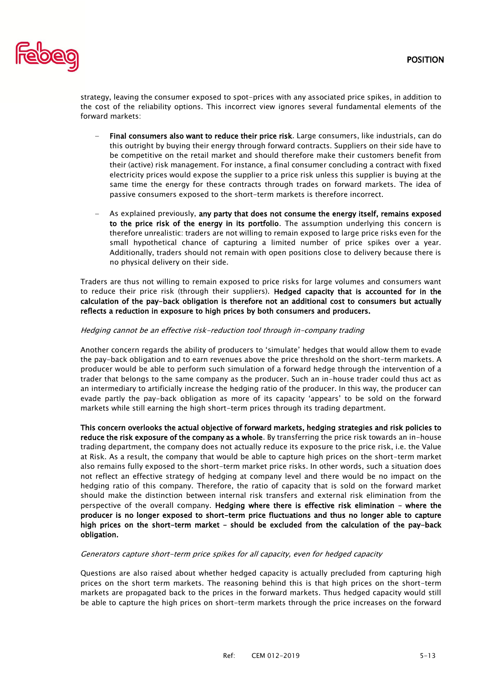

strategy, leaving the consumer exposed to spot-prices with any associated price spikes, in addition to the cost of the reliability options. This incorrect view ignores several fundamental elements of the forward markets:

- Final consumers also want to reduce their price risk. Large consumers, like industrials, can do this outright by buying their energy through forward contracts. Suppliers on their side have to be competitive on the retail market and should therefore make their customers benefit from their (active) risk management. For instance, a final consumer concluding a contract with fixed electricity prices would expose the supplier to a price risk unless this supplier is buying at the same time the energy for these contracts through trades on forward markets. The idea of passive consumers exposed to the short-term markets is therefore incorrect.
- As explained previously, any party that does not consume the energy itself, remains exposed to the price risk of the energy in its portfolio. The assumption underlying this concern is therefore unrealistic: traders are not willing to remain exposed to large price risks even for the small hypothetical chance of capturing a limited number of price spikes over a year. Additionally, traders should not remain with open positions close to delivery because there is no physical delivery on their side.

Traders are thus not willing to remain exposed to price risks for large volumes and consumers want to reduce their price risk (through their suppliers). Hedged capacity that is accounted for in the calculation of the pay-back obligation is therefore not an additional cost to consumers but actually reflects a reduction in exposure to high prices by both consumers and producers.

# Hedging cannot be an effective risk-reduction tool through in-company trading

Another concern regards the ability of producers to 'simulate' hedges that would allow them to evade the pay-back obligation and to earn revenues above the price threshold on the short-term markets. A producer would be able to perform such simulation of a forward hedge through the intervention of a trader that belongs to the same company as the producer. Such an in-house trader could thus act as an intermediary to artificially increase the hedging ratio of the producer. In this way, the producer can evade partly the pay-back obligation as more of its capacity 'appears' to be sold on the forward markets while still earning the high short-term prices through its trading department.

This concern overlooks the actual objective of forward markets, hedging strategies and risk policies to reduce the risk exposure of the company as a whole. By transferring the price risk towards an in-house trading department, the company does not actually reduce its exposure to the price risk, i.e. the Value at Risk. As a result, the company that would be able to capture high prices on the short-term market also remains fully exposed to the short-term market price risks. In other words, such a situation does not reflect an effective strategy of hedging at company level and there would be no impact on the hedging ratio of this company. Therefore, the ratio of capacity that is sold on the forward market should make the distinction between internal risk transfers and external risk elimination from the perspective of the overall company. Hedging where there is effective risk elimination – where the producer is no longer exposed to short-term price fluctuations and thus no longer able to capture high prices on the short-term market – should be excluded from the calculation of the pay-back obligation.

## Generators capture short-term price spikes for all capacity, even for hedged capacity

Questions are also raised about whether hedged capacity is actually precluded from capturing high prices on the short term markets. The reasoning behind this is that high prices on the short-term markets are propagated back to the prices in the forward markets. Thus hedged capacity would still be able to capture the high prices on short-term markets through the price increases on the forward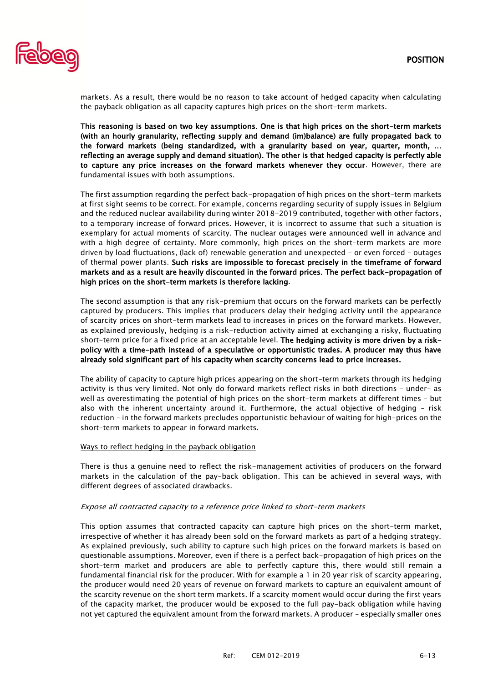

markets. As a result, there would be no reason to take account of hedged capacity when calculating the payback obligation as all capacity captures high prices on the short-term markets.

This reasoning is based on two key assumptions. One is that high prices on the short-term markets (with an hourly granularity, reflecting supply and demand (im)balance) are fully propagated back to the forward markets (being standardized, with a granularity based on year, quarter, month, … reflecting an average supply and demand situation). The other is that hedged capacity is perfectly able to capture any price increases on the forward markets whenever they occur. However, there are fundamental issues with both assumptions.

The first assumption regarding the perfect back-propagation of high prices on the short-term markets at first sight seems to be correct. For example, concerns regarding security of supply issues in Belgium and the reduced nuclear availability during winter 2018-2019 contributed, together with other factors, to a temporary increase of forward prices. However, it is incorrect to assume that such a situation is exemplary for actual moments of scarcity. The nuclear outages were announced well in advance and with a high degree of certainty. More commonly, high prices on the short-term markets are more driven by load fluctuations, (lack of) renewable generation and unexpected – or even forced – outages of thermal power plants. Such risks are impossible to forecast precisely in the timeframe of forward markets and as a result are heavily discounted in the forward prices. The perfect back-propagation of high prices on the short-term markets is therefore lacking.

The second assumption is that any risk-premium that occurs on the forward markets can be perfectly captured by producers. This implies that producers delay their hedging activity until the appearance of scarcity prices on short-term markets lead to increases in prices on the forward markets. However, as explained previously, hedging is a risk-reduction activity aimed at exchanging a risky, fluctuating short-term price for a fixed price at an acceptable level. The hedging activity is more driven by a riskpolicy with a time-path instead of a speculative or opportunistic trades. A producer may thus have already sold significant part of his capacity when scarcity concerns lead to price increases.

The ability of capacity to capture high prices appearing on the short-term markets through its hedging activity is thus very limited. Not only do forward markets reflect risks in both directions – under- as well as overestimating the potential of high prices on the short-term markets at different times – but also with the inherent uncertainty around it. Furthermore, the actual objective of hedging – risk reduction – in the forward markets precludes opportunistic behaviour of waiting for high-prices on the short-term markets to appear in forward markets.

## Ways to reflect hedging in the payback obligation

There is thus a genuine need to reflect the risk-management activities of producers on the forward markets in the calculation of the pay-back obligation. This can be achieved in several ways, with different degrees of associated drawbacks.

## Expose all contracted capacity to a reference price linked to short-term markets

This option assumes that contracted capacity can capture high prices on the short-term market, irrespective of whether it has already been sold on the forward markets as part of a hedging strategy. As explained previously, such ability to capture such high prices on the forward markets is based on questionable assumptions. Moreover, even if there is a perfect back-propagation of high prices on the short-term market and producers are able to perfectly capture this, there would still remain a fundamental financial risk for the producer. With for example a 1 in 20 year risk of scarcity appearing, the producer would need 20 years of revenue on forward markets to capture an equivalent amount of the scarcity revenue on the short term markets. If a scarcity moment would occur during the first years of the capacity market, the producer would be exposed to the full pay-back obligation while having not yet captured the equivalent amount from the forward markets. A producer – especially smaller ones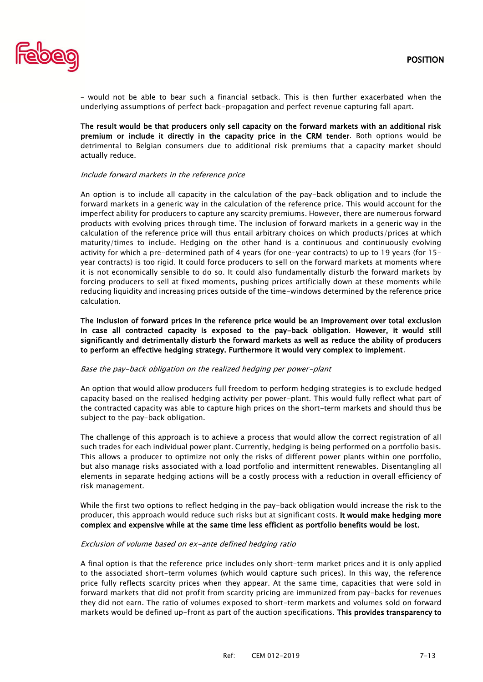

– would not be able to bear such a financial setback. This is then further exacerbated when the underlying assumptions of perfect back-propagation and perfect revenue capturing fall apart.

The result would be that producers only sell capacity on the forward markets with an additional risk premium or include it directly in the capacity price in the CRM tender. Both options would be detrimental to Belgian consumers due to additional risk premiums that a capacity market should actually reduce.

#### Include forward markets in the reference price

An option is to include all capacity in the calculation of the pay-back obligation and to include the forward markets in a generic way in the calculation of the reference price. This would account for the imperfect ability for producers to capture any scarcity premiums. However, there are numerous forward products with evolving prices through time. The inclusion of forward markets in a generic way in the calculation of the reference price will thus entail arbitrary choices on which products/prices at which maturity/times to include. Hedging on the other hand is a continuous and continuously evolving activity for which a pre-determined path of 4 years (for one-year contracts) to up to 19 years (for 15 year contracts) is too rigid. It could force producers to sell on the forward markets at moments where it is not economically sensible to do so. It could also fundamentally disturb the forward markets by forcing producers to sell at fixed moments, pushing prices artificially down at these moments while reducing liquidity and increasing prices outside of the time-windows determined by the reference price calculation.

The inclusion of forward prices in the reference price would be an improvement over total exclusion in case all contracted capacity is exposed to the pay-back obligation. However, it would still significantly and detrimentally disturb the forward markets as well as reduce the ability of producers to perform an effective hedging strategy. Furthermore it would very complex to implement.

#### Base the pay-back obligation on the realized hedging per power-plant

An option that would allow producers full freedom to perform hedging strategies is to exclude hedged capacity based on the realised hedging activity per power-plant. This would fully reflect what part of the contracted capacity was able to capture high prices on the short-term markets and should thus be subject to the pay-back obligation.

The challenge of this approach is to achieve a process that would allow the correct registration of all such trades for each individual power plant. Currently, hedging is being performed on a portfolio basis. This allows a producer to optimize not only the risks of different power plants within one portfolio, but also manage risks associated with a load portfolio and intermittent renewables. Disentangling all elements in separate hedging actions will be a costly process with a reduction in overall efficiency of risk management.

While the first two options to reflect hedging in the pay-back obligation would increase the risk to the producer, this approach would reduce such risks but at significant costs. It would make hedging more complex and expensive while at the same time less efficient as portfolio benefits would be lost.

#### Exclusion of volume based on ex-ante defined hedging ratio

A final option is that the reference price includes only short-term market prices and it is only applied to the associated short-term volumes (which would capture such prices). In this way, the reference price fully reflects scarcity prices when they appear. At the same time, capacities that were sold in forward markets that did not profit from scarcity pricing are immunized from pay-backs for revenues they did not earn. The ratio of volumes exposed to short-term markets and volumes sold on forward markets would be defined up-front as part of the auction specifications. This provides transparency to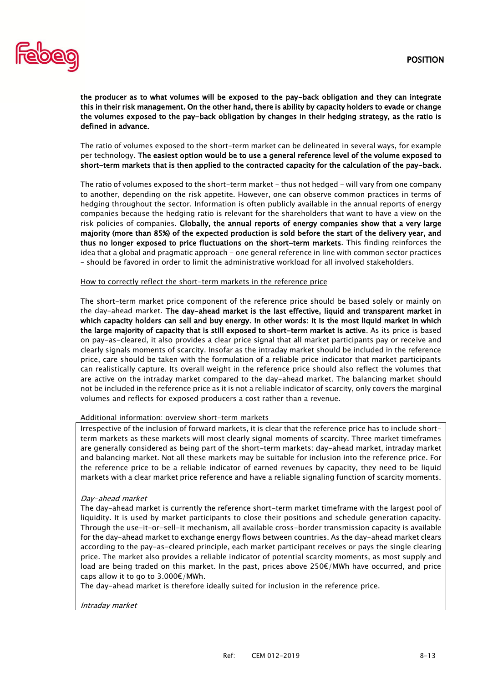

the producer as to what volumes will be exposed to the pay-back obligation and they can integrate this in their risk management. On the other hand, there is ability by capacity holders to evade or change the volumes exposed to the pay-back obligation by changes in their hedging strategy, as the ratio is defined in advance.

The ratio of volumes exposed to the short-term market can be delineated in several ways, for example per technology. The easiest option would be to use a general reference level of the volume exposed to short-term markets that is then applied to the contracted capacity for the calculation of the pay-back.

The ratio of volumes exposed to the short-term market - thus not hedged - will vary from one company to another, depending on the risk appetite. However, one can observe common practices in terms of hedging throughout the sector. Information is often publicly available in the annual reports of energy companies because the hedging ratio is relevant for the shareholders that want to have a view on the risk policies of companies. Globally, the annual reports of energy companies show that a very large majority (more than 85%) of the expected production is sold before the start of the delivery year, and thus no longer exposed to price fluctuations on the short-term markets. This finding reinforces the idea that a global and pragmatic approach - one general reference in line with common sector practices – should be favored in order to limit the administrative workload for all involved stakeholders.

#### How to correctly reflect the short-term markets in the reference price

The short-term market price component of the reference price should be based solely or mainly on the day-ahead market. The day-ahead market is the last effective, liquid and transparent market in which capacity holders can sell and buy energy. In other words: it is the most liquid market in which the large majority of capacity that is still exposed to short-term market is active. As its price is based on pay-as-cleared, it also provides a clear price signal that all market participants pay or receive and clearly signals moments of scarcity. Insofar as the intraday market should be included in the reference price, care should be taken with the formulation of a reliable price indicator that market participants can realistically capture. Its overall weight in the reference price should also reflect the volumes that are active on the intraday market compared to the day-ahead market. The balancing market should not be included in the reference price as it is not a reliable indicator of scarcity, only covers the marginal volumes and reflects for exposed producers a cost rather than a revenue.

#### Additional information: overview short-term markets

Irrespective of the inclusion of forward markets, it is clear that the reference price has to include shortterm markets as these markets will most clearly signal moments of scarcity. Three market timeframes are generally considered as being part of the short-term markets: day-ahead market, intraday market and balancing market. Not all these markets may be suitable for inclusion into the reference price. For the reference price to be a reliable indicator of earned revenues by capacity, they need to be liquid markets with a clear market price reference and have a reliable signaling function of scarcity moments.

#### Day-ahead market

The day-ahead market is currently the reference short-term market timeframe with the largest pool of liquidity. It is used by market participants to close their positions and schedule generation capacity. Through the use-it-or-sell-it mechanism, all available cross-border transmission capacity is available for the day-ahead market to exchange energy flows between countries. As the day-ahead market clears according to the pay-as-cleared principle, each market participant receives or pays the single clearing price. The market also provides a reliable indicator of potential scarcity moments, as most supply and load are being traded on this market. In the past, prices above 250€/MWh have occurred, and price caps allow it to go to  $3.000 \epsilon /$  MWh.

The day-ahead market is therefore ideally suited for inclusion in the reference price.

Intraday market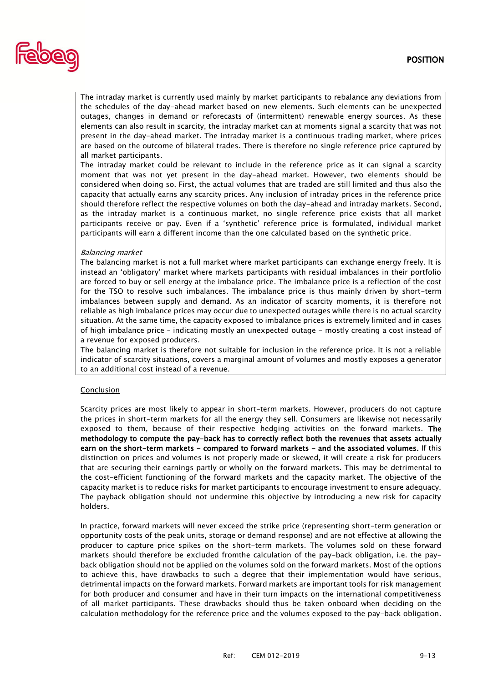

The intraday market is currently used mainly by market participants to rebalance any deviations from the schedules of the day-ahead market based on new elements. Such elements can be unexpected outages, changes in demand or reforecasts of (intermittent) renewable energy sources. As these elements can also result in scarcity, the intraday market can at moments signal a scarcity that was not present in the day-ahead market. The intraday market is a continuous trading market, where prices are based on the outcome of bilateral trades. There is therefore no single reference price captured by all market participants.

The intraday market could be relevant to include in the reference price as it can signal a scarcity moment that was not yet present in the day-ahead market. However, two elements should be considered when doing so. First, the actual volumes that are traded are still limited and thus also the capacity that actually earns any scarcity prices. Any inclusion of intraday prices in the reference price should therefore reflect the respective volumes on both the day-ahead and intraday markets. Second, as the intraday market is a continuous market, no single reference price exists that all market participants receive or pay. Even if a 'synthetic' reference price is formulated, individual market participants will earn a different income than the one calculated based on the synthetic price.

#### Balancing market

The balancing market is not a full market where market participants can exchange energy freely. It is instead an 'obligatory' market where markets participants with residual imbalances in their portfolio are forced to buy or sell energy at the imbalance price. The imbalance price is a reflection of the cost for the TSO to resolve such imbalances. The imbalance price is thus mainly driven by short-term imbalances between supply and demand. As an indicator of scarcity moments, it is therefore not reliable as high imbalance prices may occur due to unexpected outages while there is no actual scarcity situation. At the same time, the capacity exposed to imbalance prices is extremely limited and in cases of high imbalance price – indicating mostly an unexpected outage - mostly creating a cost instead of a revenue for exposed producers.

The balancing market is therefore not suitable for inclusion in the reference price. It is not a reliable indicator of scarcity situations, covers a marginal amount of volumes and mostly exposes a generator to an additional cost instead of a revenue.

## Conclusion

Scarcity prices are most likely to appear in short-term markets. However, producers do not capture the prices in short-term markets for all the energy they sell. Consumers are likewise not necessarily exposed to them, because of their respective hedging activities on the forward markets. The methodology to compute the pay-back has to correctly reflect both the revenues that assets actually earn on the short-term markets - compared to forward markets - and the associated volumes. If this distinction on prices and volumes is not properly made or skewed, it will create a risk for producers that are securing their earnings partly or wholly on the forward markets. This may be detrimental to the cost-efficient functioning of the forward markets and the capacity market. The objective of the capacity market is to reduce risks for market participants to encourage investment to ensure adequacy. The payback obligation should not undermine this objective by introducing a new risk for capacity holders.

In practice, forward markets will never exceed the strike price (representing short-term generation or opportunity costs of the peak units, storage or demand response) and are not effective at allowing the producer to capture price spikes on the short-term markets. The volumes sold on these forward markets should therefore be excluded fromthe calculation of the pay-back obligation, i.e. the payback obligation should not be applied on the volumes sold on the forward markets. Most of the options to achieve this, have drawbacks to such a degree that their implementation would have serious, detrimental impacts on the forward markets. Forward markets are important tools for risk management for both producer and consumer and have in their turn impacts on the international competitiveness of all market participants. These drawbacks should thus be taken onboard when deciding on the calculation methodology for the reference price and the volumes exposed to the pay-back obligation.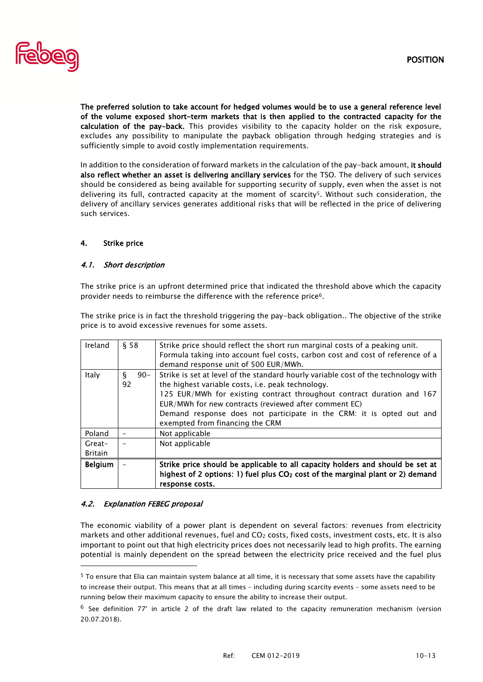

The preferred solution to take account for hedged volumes would be to use a general reference level of the volume exposed short-term markets that is then applied to the contracted capacity for the calculation of the pay-back. This provides visibility to the capacity holder on the risk exposure, excludes any possibility to manipulate the payback obligation through hedging strategies and is sufficiently simple to avoid costly implementation requirements.

In addition to the consideration of forward markets in the calculation of the pay-back amount, it should also reflect whether an asset is delivering ancillary services for the TSO. The delivery of such services should be considered as being available for supporting security of supply, even when the asset is not delivering its full, contracted capacity at the moment of scarcity5. Without such consideration, the delivery of ancillary services generates additional risks that will be reflected in the price of delivering such services.

# 4. Strike price

# 4.1. Short description

The strike price is an upfront determined price that indicated the threshold above which the capacity provider needs to reimburse the difference with the reference price6.

The strike price is in fact the threshold triggering the pay-back obligation.. The objective of the strike price is to avoid excessive revenues for some assets.

| Ireland                    | § 58              | Strike price should reflect the short run marginal costs of a peaking unit.<br>Formula taking into account fuel costs, carbon cost and cost of reference of a<br>demand response unit of 500 EUR/MWh.                                                                                                                                                                                 |
|----------------------------|-------------------|---------------------------------------------------------------------------------------------------------------------------------------------------------------------------------------------------------------------------------------------------------------------------------------------------------------------------------------------------------------------------------------|
| Italy                      | ξ<br>$90 -$<br>92 | Strike is set at level of the standard hourly variable cost of the technology with<br>the highest variable costs, i.e. peak technology.<br>125 EUR/MWh for existing contract throughout contract duration and 167<br>EUR/MWh for new contracts (reviewed after comment EC)<br>Demand response does not participate in the CRM: it is opted out and<br>exempted from financing the CRM |
| Poland                     |                   | Not applicable                                                                                                                                                                                                                                                                                                                                                                        |
| $Great-$<br><b>Britain</b> |                   | Not applicable                                                                                                                                                                                                                                                                                                                                                                        |
| <b>Belgium</b>             |                   | Strike price should be applicable to all capacity holders and should be set at<br>highest of 2 options: 1) fuel plus $CO2$ cost of the marginal plant or 2) demand<br>response costs.                                                                                                                                                                                                 |

# 4.2. Explanation FEBEG proposal

l

The economic viability of a power plant is dependent on several factors: revenues from electricity markets and other additional revenues, fuel and CO<sub>2</sub> costs, fixed costs, investment costs, etc. It is also important to point out that high electricity prices does not necessarily lead to high profits. The earning potential is mainly dependent on the spread between the electricity price received and the fuel plus

<sup>5</sup> To ensure that Elia can maintain system balance at all time, it is necessary that some assets have the capability to increase their output. This means that at all times – including during scarcity events – some assets need to be running below their maximum capacity to ensure the ability to increase their output.

 $6$  See definition 77° in article 2 of the draft law related to the capacity remuneration mechanism (version 20.07.2018).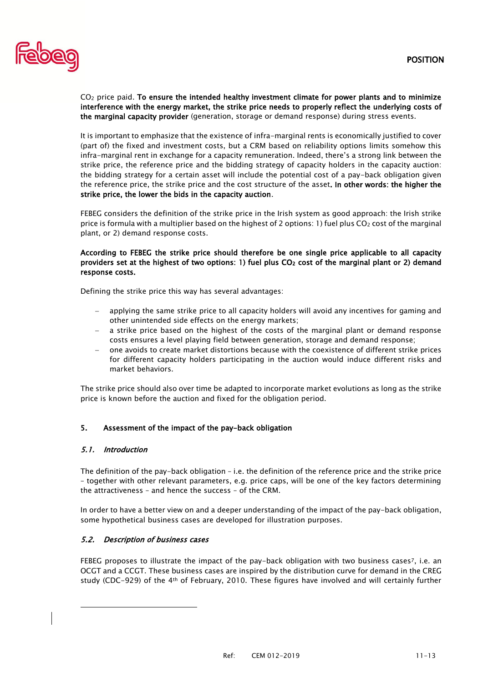

 $CO<sub>2</sub>$  price paid. To ensure the intended healthy investment climate for power plants and to minimize interference with the energy market, the strike price needs to properly reflect the underlying costs of the marginal capacity provider (generation, storage or demand response) during stress events.

It is important to emphasize that the existence of infra-marginal rents is economically justified to cover (part of) the fixed and investment costs, but a CRM based on reliability options limits somehow this infra-marginal rent in exchange for a capacity remuneration. Indeed, there's a strong link between the strike price, the reference price and the bidding strategy of capacity holders in the capacity auction: the bidding strategy for a certain asset will include the potential cost of a pay-back obligation given the reference price, the strike price and the cost structure of the asset. In other words: the higher the strike price, the lower the bids in the capacity auction.

FEBEG considers the definition of the strike price in the Irish system as good approach: the Irish strike price is formula with a multiplier based on the highest of 2 options: 1) fuel plus  $CO<sub>2</sub>$  cost of the marginal plant, or 2) demand response costs.

# According to FEBEG the strike price should therefore be one single price applicable to all capacity providers set at the highest of two options: 1) fuel plus CO<sub>2</sub> cost of the marginal plant or 2) demand response costs.

Defining the strike price this way has several advantages:

- applying the same strike price to all capacity holders will avoid any incentives for gaming and other unintended side effects on the energy markets;
- − a strike price based on the highest of the costs of the marginal plant or demand response costs ensures a level playing field between generation, storage and demand response;
- − one avoids to create market distortions because with the coexistence of different strike prices for different capacity holders participating in the auction would induce different risks and market behaviors.

The strike price should also over time be adapted to incorporate market evolutions as long as the strike price is known before the auction and fixed for the obligation period.

# 5. Assessment of the impact of the pay-back obligation

# 5.1. Introduction

l

The definition of the pay-back obligation – i.e. the definition of the reference price and the strike price – together with other relevant parameters, e.g. price caps, will be one of the key factors determining the attractiveness – and hence the success – of the CRM.

In order to have a better view on and a deeper understanding of the impact of the pay-back obligation, some hypothetical business cases are developed for illustration purposes.

# 5.2. Description of business cases

FEBEG proposes to illustrate the impact of the pay-back obligation with two business cases7, i.e. an OCGT and a CCGT. These business cases are inspired by the distribution curve for demand in the CREG study (CDC-929) of the 4th of February, 2010. These figures have involved and will certainly further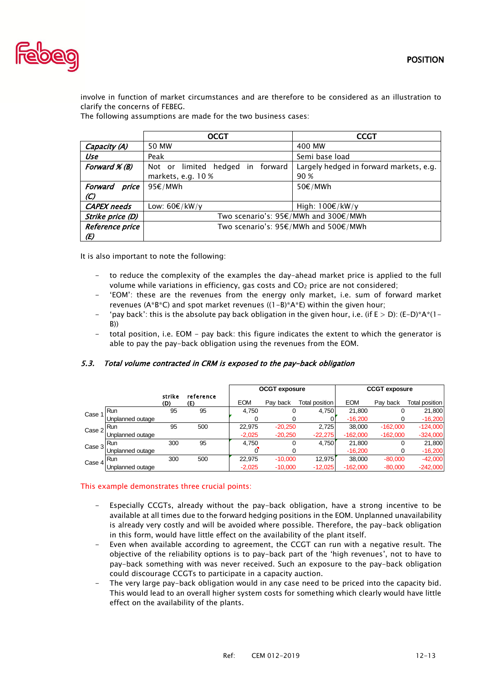

involve in function of market circumstances and are therefore to be considered as an illustration to clarify the concerns of FEBEG.

The following assumptions are made for the two business cases:

|                          | OCGT                                 | <b>CCGT</b>                             |  |  |  |
|--------------------------|--------------------------------------|-----------------------------------------|--|--|--|
| Capacity (A)             | 50 MW                                | 400 MW                                  |  |  |  |
| Use                      | Peak                                 | Semi base load                          |  |  |  |
| Forward $\mathcal{K}(B)$ | Not or limited hedged in forward     | Largely hedged in forward markets, e.g. |  |  |  |
|                          | markets, e.g. 10 %                   | 90 %                                    |  |  |  |
| Forward<br>price         | 95€/MWh                              | 50€/MWh                                 |  |  |  |
| $\mathcal{L}$            |                                      |                                         |  |  |  |
| <b>CAPEX</b> needs       | Low: $60€/kW/y$                      | High: $100€/kW/y$                       |  |  |  |
| Strike price (D)         | Two scenario's: 95€/MWh and 300€/MWh |                                         |  |  |  |
| Reference price          | Two scenario's: 95€/MWh and 500€/MWh |                                         |  |  |  |
| (E)                      |                                      |                                         |  |  |  |

It is also important to note the following:

- to reduce the complexity of the examples the day-ahead market price is applied to the full volume while variations in efficiency, gas costs and CO<sub>2</sub> price are not considered;
- 'EOM': these are the revenues from the energy only market, i.e. sum of forward market revenues (A\*B\*C) and spot market revenues ((1-B)\*A\*E) within the given hour;
- 'pay back': this is the absolute pay back obligation in the given hour, i.e. (if  $E > D$ ): (E-D)\*A\*(1-B))
- total position, i.e. EOM pay back: this figure indicates the extent to which the generator is able to pay the pay-back obligation using the revenues from the EOM.

|        |                  |               |                  |            | <b>OCGT</b> exposure |                | <b>CCGT</b> exposure |            |                |
|--------|------------------|---------------|------------------|------------|----------------------|----------------|----------------------|------------|----------------|
|        |                  | strike<br>(D) | reference<br>(E) | <b>EOM</b> | Pav back             | Total position | <b>EOM</b>           | Pay back   | Total position |
| Case   | Run              | 95            | 95               | 4,750      | 0                    | 4,750          | 21,800               | 0          | 21,800         |
|        | Unplanned outage |               |                  |            |                      |                | $-16,200$            | 0          | $-16,200$      |
| Case 2 | <b>Run</b>       | 95            | 500              | 22,975     | $-20,250$            | 2,725          | 38,000               | $-162,000$ | $-124,000$     |
|        | Unplanned outage |               |                  | $-2,025$   | $-20,250$            | $-22,275$      | $-162,000$           | $-162,000$ | $-324,000$     |
| Case 3 | Run              | 300           | 95               | 4,750      | 0                    | 4,750          | 21,800               | 0          | 21,800         |
|        | Unplanned outage |               |                  |            |                      |                | $-16,200$            |            | $-16,200$      |
| Case 4 | Run              | 300           | 500              | 22.975     | $-10,000$            | 12.975         | 38,000               | $-80.000$  | $-42,000$      |
|        | Unplanned outage |               |                  | $-2,025$   | $-10,000$            | $-12,025$      | $-162,000$           | $-80,000$  | $-242,000$     |

# 5.3. Total volume contracted in CRM is exposed to the pay-back obligation

## This example demonstrates three crucial points:

- Especially CCGTs, already without the pay-back obligation, have a strong incentive to be available at all times due to the forward hedging positions in the EOM. Unplanned unavailability is already very costly and will be avoided where possible. Therefore, the pay-back obligation in this form, would have little effect on the availability of the plant itself.
- Even when available according to agreement, the CCGT can run with a negative result. The objective of the reliability options is to pay-back part of the 'high revenues', not to have to pay-back something with was never received. Such an exposure to the pay-back obligation could discourage CCGTs to participate in a capacity auction.
- The very large pay-back obligation would in any case need to be priced into the capacity bid. This would lead to an overall higher system costs for something which clearly would have little effect on the availability of the plants.